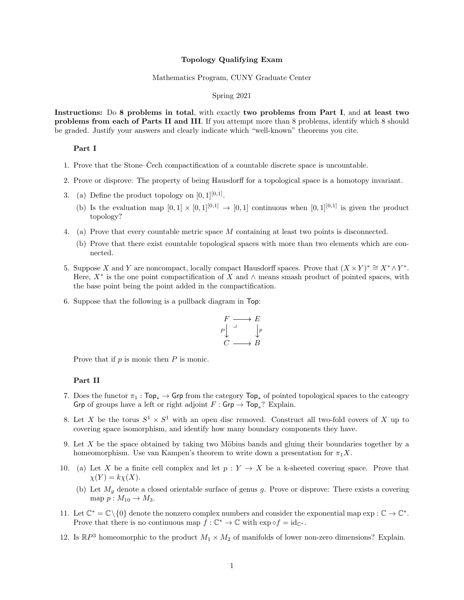### Topology Qualifying Exam

#### Mathematics Program, CUNY Graduate Center

## Spring 2021

Instructions: Do 8 problems in total, with exactly two problems from Part I, and at least two problems from each of Parts II and III. If you attempt more than 8 problems, identify which 8 should be graded. Justify your answers and clearly indicate which "well-known" theorems you cite.

## Part I

- 1. Prove that the Stone–Cech compactification of a countable discrete space is uncountable.
- 2. Prove or disprove: The property of being Hausdorff for a topological space is a homotopy invariant.
- 3. (a) Define the product topology on  $[0,1]^{[0,1]}$ .
	- (b) Is the evaluation map  $[0,1] \times [0,1]^{[0,1]} \rightarrow [0,1]$  continuous when  $[0,1]^{[0,1]}$  is given the product topology?
- 4. (a) Prove that every countable metric space M containing at least two points is disconnected.
	- (b) Prove that there exist countable topological spaces with more than two elements which are connected.
- 5. Suppose X and Y are noncompact, locally compact Hausdorff spaces. Prove that  $(X \times Y)^* \cong X^* \wedge Y^*$ . Here,  $X^*$  is the one point compactification of X and  $\wedge$  means smash product of pointed spaces, with the base point being the point added in the compactification.
- 6. Suppose that the following is a pullback diagram in Top:

$$
\begin{array}{ccc}\nF & \longrightarrow & E \\
P & \downarrow & \downarrow & \\
C & \longrightarrow & B\n\end{array}
$$

Prove that if  $p$  is monic then  $P$  is monic.

#### Part II

- 7. Does the functor  $\pi_1$  : Top<sub>\*</sub> → Grp from the category Top<sub>\*</sub> of pointed topological spaces to the cateogry Grp of groups have a left or right adjoint  $F: \mathsf{Grp} \to \mathsf{Top}_*$ ? Explain.
- 8. Let X be the torus  $S^1 \times S^1$  with an open disc removed. Construct all two-fold covers of X up to covering space isomorphism, and identify how many boundary components they have.
- 9. Let  $X$  be the space obtained by taking two Möbius bands and gluing their boundaries together by a homeomorphism. Use van Kampen's theorem to write down a presentation for  $\pi_1 X$ .
- 10. (a) Let X be a finite cell complex and let  $p: Y \to X$  be a k-sheeted covering space. Prove that  $\chi(Y) = k\chi(X).$ 
	- (b) Let  $M_q$  denote a closed orientable surface of genus g. Prove or disprove: There exists a covering map  $p : M_{10} \rightarrow M_3$ .
- 11. Let  $\mathbb{C}^* = \mathbb{C} \setminus \{0\}$  denote the nonzero complex numbers and consider the exponential map  $\exp : \mathbb{C} \to \mathbb{C}^*$ . Prove that there is no continuous map  $f: \mathbb{C}^* \to \mathbb{C}$  with  $\exp \circ f = id_{\mathbb{C}^*}.$
- 12. Is  $\mathbb{R}P^3$  homeomorphic to the product  $M_1 \times M_2$  of manifolds of lower non-zero dimensions? Explain.